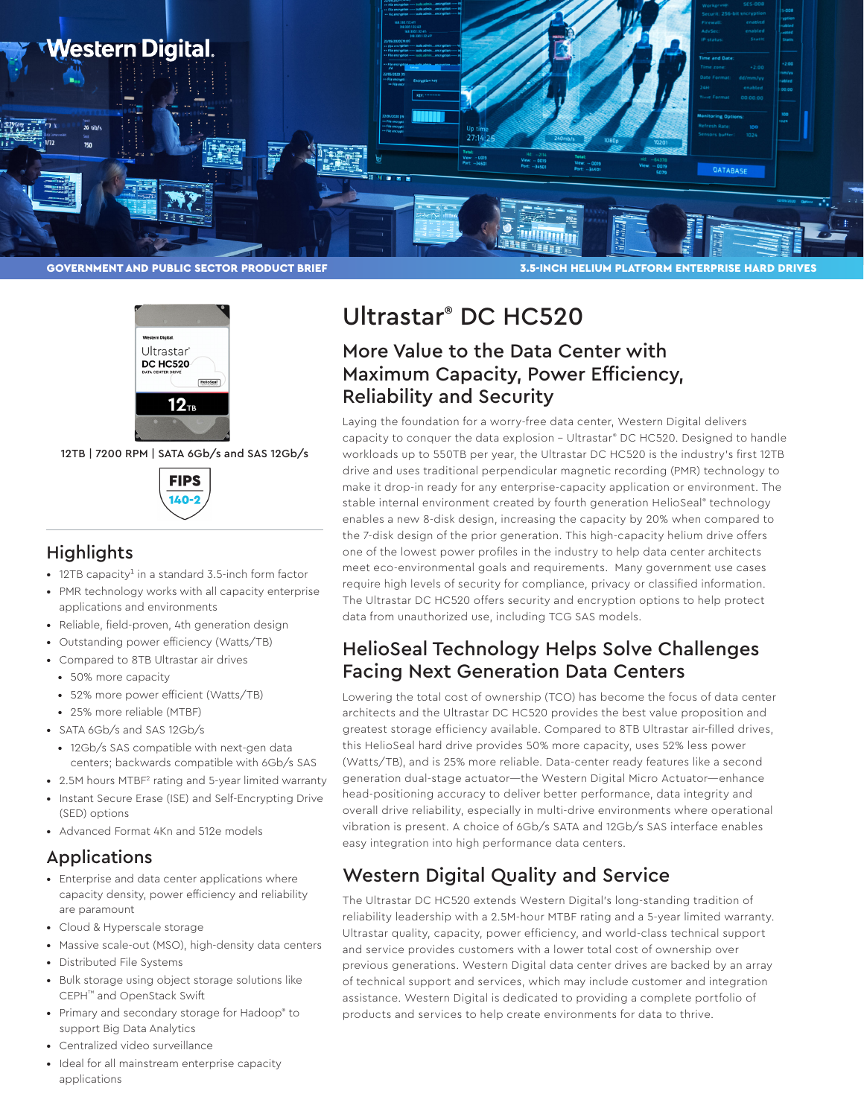



12TB | 7200 RPM | SATA 6Gb/s and SAS 12Gb/s



## **Highlights**

- 12TB capacity<sup>1</sup> in a standard 3.5-inch form factor
- PMR technology works with all capacity enterprise applications and environments
- Reliable, field-proven, 4th generation design
- Outstanding power efficiency (Watts/TB)
- Compared to 8TB Ultrastar air drives
	- 50% more capacity
	- 52% more power efficient (Watts/TB)
	- 25% more reliable (MTBF)
- SATA 6Gb/s and SAS 12Gb/s
	- 12Gb/s SAS compatible with next-gen data centers; backwards compatible with 6Gb/s SAS
- 2.5M hours MTBF<sup>2</sup> rating and 5-year limited warranty
- Instant Secure Erase (ISE) and Self-Encrypting Drive (SED) options
- Advanced Format 4Kn and 512e models

#### Applications

- Enterprise and data center applications where capacity density, power efficiency and reliability are paramount
- Cloud & Hyperscale storage
- Massive scale-out (MSO), high-density data centers
- Distributed File Systems
- Bulk storage using object storage solutions like CEPH™ and OpenStack Swift
- Primary and secondary storage for Hadoop® to support Big Data Analytics
- Centralized video surveillance
- Ideal for all mainstream enterprise capacity applications

# Ultrastar® DC HC520

# More Value to the Data Center with Maximum Capacity, Power Efficiency, Reliability and Security

Laying the foundation for a worry-free data center, Western Digital delivers capacity to conquer the data explosion – Ultrastar® DC HC520. Designed to handle workloads up to 550TB per year, the Ultrastar DC HC520 is the industry's first 12TB drive and uses traditional perpendicular magnetic recording (PMR) technology to make it drop-in ready for any enterprise-capacity application or environment. The stable internal environment created by fourth generation HelioSeal® technology enables a new 8-disk design, increasing the capacity by 20% when compared to the 7-disk design of the prior generation. This high-capacity helium drive offers one of the lowest power profiles in the industry to help data center architects meet eco-environmental goals and requirements. Many government use cases require high levels of security for compliance, privacy or classified information. The Ultrastar DC HC520 offers security and encryption options to help protect data from unauthorized use, including TCG SAS models.

# HelioSeal Technology Helps Solve Challenges Facing Next Generation Data Centers

Lowering the total cost of ownership (TCO) has become the focus of data center architects and the Ultrastar DC HC520 provides the best value proposition and greatest storage efficiency available. Compared to 8TB Ultrastar air-filled drives, this HelioSeal hard drive provides 50% more capacity, uses 52% less power (Watts/TB), and is 25% more reliable. Data-center ready features like a second generation dual-stage actuator—the Western Digital Micro Actuator—enhance head-positioning accuracy to deliver better performance, data integrity and overall drive reliability, especially in multi-drive environments where operational vibration is present. A choice of 6Gb/s SATA and 12Gb/s SAS interface enables easy integration into high performance data centers.

# Western Digital Quality and Service

The Ultrastar DC HC520 extends Western Digital's long-standing tradition of reliability leadership with a 2.5M-hour MTBF rating and a 5-year limited warranty. Ultrastar quality, capacity, power efficiency, and world-class technical support and service provides customers with a lower total cost of ownership over previous generations. Western Digital data center drives are backed by an array of technical support and services, which may include customer and integration assistance. Western Digital is dedicated to providing a complete portfolio of products and services to help create environments for data to thrive.